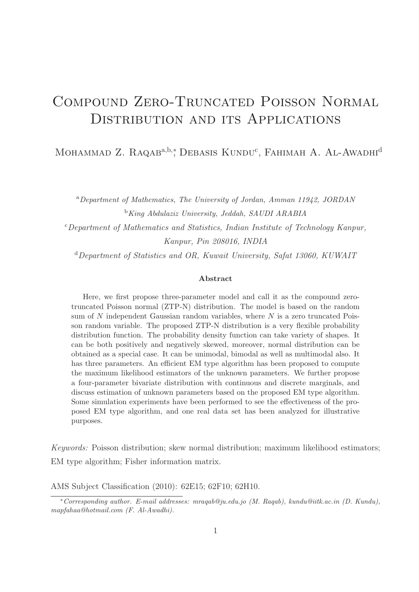# Compound Zero-Truncated Poisson Normal DISTRIBUTION AND ITS APPLICATIONS

Mohammad Z. Raqab<sup>a,b,\*</sup>, Debasis Kundu<sup>c</sup>, Fahimah A. Al-Awadhi<sup>d</sup>

<sup>a</sup>*Department of Mathematics, The University of Jordan, Amman 11942, JORDAN* <sup>b</sup>*King Abdulaziz University, Jeddah, SAUDI ARABIA*  $c$ Department of Mathematics and Statistics, Indian Institute of Technology Kanpur, Kanpur, Pin 208016, INDIA  $d$  Department of Statistics and OR, Kuwait University, Safat 13060, KUWAIT

#### Abstract

Here, we first propose three-parameter model and call it as the compound zerotruncated Poisson normal (ZTP-N) distribution. The model is based on the random sum of N independent Gaussian random variables, where  $N$  is a zero truncated Poisson random variable. The proposed ZTP-N distribution is a very flexible probability distribution function. The probability density function can take variety of shapes. It can be both positively and negatively skewed, moreover, normal distribution can be obtained as a special case. It can be unimodal, bimodal as well as multimodal also. It has three parameters. An efficient EM type algorithm has been proposed to compute the maximum likelihood estimators of the unknown parameters. We further propose a four-parameter bivariate distribution with continuous and discrete marginals, and discuss estimation of unknown parameters based on the proposed EM type algorithm. Some simulation experiments have been performed to see the effectiveness of the proposed EM type algorithm, and one real data set has been analyzed for illustrative purposes.

Keywords: Poisson distribution; skew normal distribution; maximum likelihood estimators; EM type algorithm; Fisher information matrix.

AMS Subject Classification (2010): 62E15; 62F10; 62H10.

<sup>∗</sup>*Corresponding author. E-mail addresses: mraqab@ju.edu.jo (M. Raqab), kundu@iitk.ac.in (D. Kundu), mapfahaa@hotmail.com (F. Al-Awadhi).*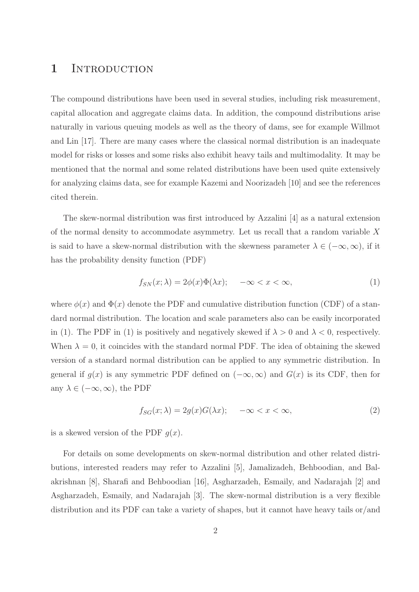### 1 INTRODUCTION

The compound distributions have been used in several studies, including risk measurement, capital allocation and aggregate claims data. In addition, the compound distributions arise naturally in various queuing models as well as the theory of dams, see for example Willmot and Lin [17]. There are many cases where the classical normal distribution is an inadequate model for risks or losses and some risks also exhibit heavy tails and multimodality. It may be mentioned that the normal and some related distributions have been used quite extensively for analyzing claims data, see for example Kazemi and Noorizadeh [10] and see the references cited therein.

The skew-normal distribution was first introduced by Azzalini [4] as a natural extension of the normal density to accommodate asymmetry. Let us recall that a random variable X is said to have a skew-normal distribution with the skewness parameter  $\lambda \in (-\infty, \infty)$ , if it has the probability density function (PDF)

$$
f_{SN}(x; \lambda) = 2\phi(x)\Phi(\lambda x); \quad -\infty < x < \infty,\tag{1}
$$

where  $\phi(x)$  and  $\Phi(x)$  denote the PDF and cumulative distribution function (CDF) of a standard normal distribution. The location and scale parameters also can be easily incorporated in (1). The PDF in (1) is positively and negatively skewed if  $\lambda > 0$  and  $\lambda < 0$ , respectively. When  $\lambda = 0$ , it coincides with the standard normal PDF. The idea of obtaining the skewed version of a standard normal distribution can be applied to any symmetric distribution. In general if  $g(x)$  is any symmetric PDF defined on  $(-\infty, \infty)$  and  $G(x)$  is its CDF, then for any  $\lambda \in (-\infty, \infty)$ , the PDF

$$
f_{SG}(x; \lambda) = 2g(x)G(\lambda x); \quad -\infty < x < \infty,\tag{2}
$$

is a skewed version of the PDF  $g(x)$ .

For details on some developments on skew-normal distribution and other related distributions, interested readers may refer to Azzalini [5], Jamalizadeh, Behboodian, and Balakrishnan [8], Sharafi and Behboodian [16], Asgharzadeh, Esmaily, and Nadarajah [2] and Asgharzadeh, Esmaily, and Nadarajah [3]. The skew-normal distribution is a very flexible distribution and its PDF can take a variety of shapes, but it cannot have heavy tails or/and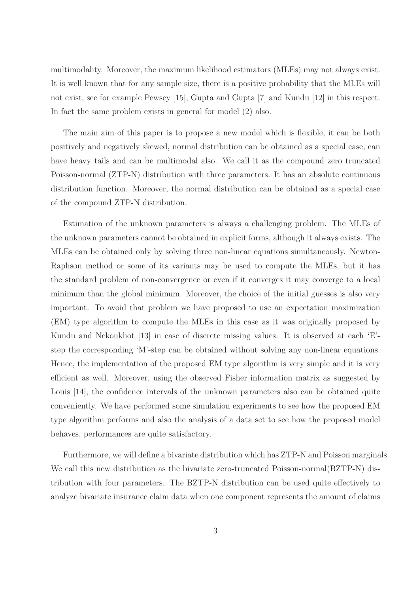multimodality. Moreover, the maximum likelihood estimators (MLEs) may not always exist. It is well known that for any sample size, there is a positive probability that the MLEs will not exist, see for example Pewsey [15], Gupta and Gupta [7] and Kundu [12] in this respect. In fact the same problem exists in general for model (2) also.

The main aim of this paper is to propose a new model which is flexible, it can be both positively and negatively skewed, normal distribution can be obtained as a special case, can have heavy tails and can be multimodal also. We call it as the compound zero truncated Poisson-normal (ZTP-N) distribution with three parameters. It has an absolute continuous distribution function. Moreover, the normal distribution can be obtained as a special case of the compound ZTP-N distribution.

Estimation of the unknown parameters is always a challenging problem. The MLEs of the unknown parameters cannot be obtained in explicit forms, although it always exists. The MLEs can be obtained only by solving three non-linear equations simultaneously. Newton-Raphson method or some of its variants may be used to compute the MLEs, but it has the standard problem of non-convergence or even if it converges it may converge to a local minimum than the global minimum. Moreover, the choice of the initial guesses is also very important. To avoid that problem we have proposed to use an expectation maximization (EM) type algorithm to compute the MLEs in this case as it was originally proposed by Kundu and Nekoukhot [13] in case of discrete missing values. It is observed at each 'E' step the corresponding 'M'-step can be obtained without solving any non-linear equations. Hence, the implementation of the proposed EM type algorithm is very simple and it is very efficient as well. Moreover, using the observed Fisher information matrix as suggested by Louis [14], the confidence intervals of the unknown parameters also can be obtained quite conveniently. We have performed some simulation experiments to see how the proposed EM type algorithm performs and also the analysis of a data set to see how the proposed model behaves, performances are quite satisfactory.

Furthermore, we will define a bivariate distribution which has ZTP-N and Poisson marginals. We call this new distribution as the bivariate zero-truncated Poisson-normal (BZTP-N) distribution with four parameters. The BZTP-N distribution can be used quite effectively to analyze bivariate insurance claim data when one component represents the amount of claims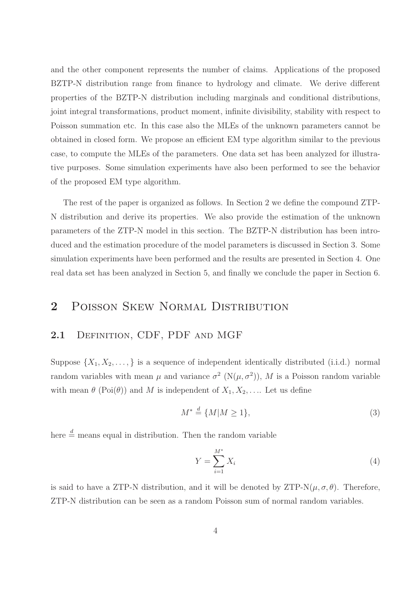and the other component represents the number of claims. Applications of the proposed BZTP-N distribution range from finance to hydrology and climate. We derive different properties of the BZTP-N distribution including marginals and conditional distributions, joint integral transformations, product moment, infinite divisibility, stability with respect to Poisson summation etc. In this case also the MLEs of the unknown parameters cannot be obtained in closed form. We propose an efficient EM type algorithm similar to the previous case, to compute the MLEs of the parameters. One data set has been analyzed for illustrative purposes. Some simulation experiments have also been performed to see the behavior of the proposed EM type algorithm.

The rest of the paper is organized as follows. In Section 2 we define the compound ZTP-N distribution and derive its properties. We also provide the estimation of the unknown parameters of the ZTP-N model in this section. The BZTP-N distribution has been introduced and the estimation procedure of the model parameters is discussed in Section 3. Some simulation experiments have been performed and the results are presented in Section 4. One real data set has been analyzed in Section 5, and finally we conclude the paper in Section 6.

### 2 POISSON SKEW NORMAL DISTRIBUTION

#### 2.1 DEFINITION, CDF, PDF AND MGF

Suppose  $\{X_1, X_2, \ldots\}$  is a sequence of independent identically distributed (i.i.d.) normal random variables with mean  $\mu$  and variance  $\sigma^2$  (N $(\mu, \sigma^2)$ ), M is a Poisson random variable with mean  $\theta$  (Poi( $\theta$ )) and M is independent of  $X_1, X_2, \ldots$  Let us define

$$
M^* \stackrel{d}{=} \{M | M \ge 1\},\tag{3}
$$

here  $\stackrel{d}{=}$  means equal in distribution. Then the random variable

$$
Y = \sum_{i=1}^{M^*} X_i \tag{4}
$$

is said to have a ZTP-N distribution, and it will be denoted by ZTP-N $(\mu, \sigma, \theta)$ . Therefore, ZTP-N distribution can be seen as a random Poisson sum of normal random variables.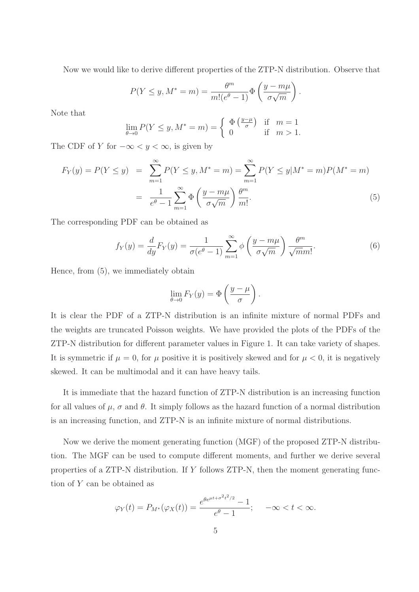Now we would like to derive different properties of the ZTP-N distribution. Observe that

$$
P(Y \le y, M^* = m) = \frac{\theta^m}{m!(e^{\theta} - 1)} \Phi\left(\frac{y - m\mu}{\sigma\sqrt{m}}\right).
$$

Note that

$$
\lim_{\theta \to 0} P(Y \le y, M^* = m) = \begin{cases} \Phi\left(\frac{y-\mu}{\sigma}\right) & \text{if } m = 1\\ 0 & \text{if } m > 1. \end{cases}
$$

The CDF of Y for  $-\infty < y < \infty$ , is given by

$$
F_Y(y) = P(Y \le y) = \sum_{m=1}^{\infty} P(Y \le y, M^* = m) = \sum_{m=1}^{\infty} P(Y \le y | M^* = m) P(M^* = m)
$$

$$
= \frac{1}{e^{\theta} - 1} \sum_{m=1}^{\infty} \Phi\left(\frac{y - m\mu}{\sigma\sqrt{m}}\right) \frac{\theta^m}{m!}.
$$
(5)

The corresponding PDF can be obtained as

$$
f_Y(y) = \frac{d}{dy} F_Y(y) = \frac{1}{\sigma(e^{\theta} - 1)} \sum_{m=1}^{\infty} \phi \left( \frac{y - m\mu}{\sigma \sqrt{m}} \right) \frac{\theta^m}{\sqrt{m m!}}.
$$
 (6)

Hence, from (5), we immediately obtain

$$
\lim_{\theta \to 0} F_Y(y) = \Phi\left(\frac{y - \mu}{\sigma}\right).
$$

It is clear the PDF of a ZTP-N distribution is an infinite mixture of normal PDFs and the weights are truncated Poisson weights. We have provided the plots of the PDFs of the ZTP-N distribution for different parameter values in Figure 1. It can take variety of shapes. It is symmetric if  $\mu = 0$ , for  $\mu$  positive it is positively skewed and for  $\mu < 0$ , it is negatively skewed. It can be multimodal and it can have heavy tails.

It is immediate that the hazard function of ZTP-N distribution is an increasing function for all values of  $\mu$ ,  $\sigma$  and  $\theta$ . It simply follows as the hazard function of a normal distribution is an increasing function, and ZTP-N is an infinite mixture of normal distributions.

Now we derive the moment generating function (MGF) of the proposed ZTP-N distribution. The MGF can be used to compute different moments, and further we derive several properties of a ZTP-N distribution. If Y follows ZTP-N, then the moment generating function of Y can be obtained as

$$
\varphi_Y(t) = P_{M^*}(\varphi_X(t)) = \frac{e^{\theta e^{\mu t + \sigma^2 t^2/2}} - 1}{e^{\theta} - 1}; \quad -\infty < t < \infty.
$$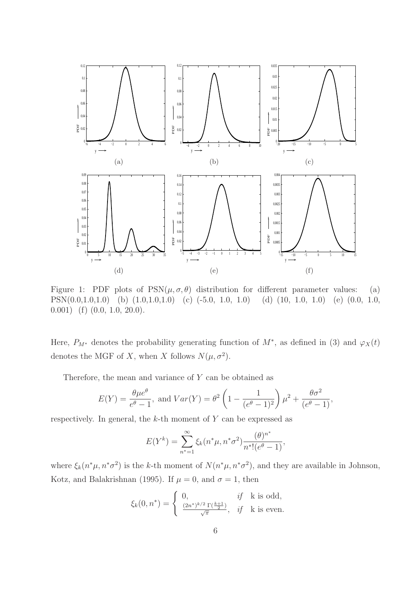

Figure 1: PDF plots of  $PSN(\mu, \sigma, \theta)$  distribution for different parameter values: (a) PSN(0.0,1.0,1.0) (b) (1.0,1.0,1.0) (c) (-5.0, 1.0, 1.0) (d) (10, 1.0, 1.0) (e) (0.0, 1.0,  $(0.001)$  (f)  $(0.0, 1.0, 20.0)$ .

Here,  $P_{M^*}$  denotes the probability generating function of  $M^*$ , as defined in (3) and  $\varphi_X(t)$ denotes the MGF of X, when X follows  $N(\mu, \sigma^2)$ .

Therefore, the mean and variance of  $Y$  can be obtained as

$$
E(Y) = \frac{\theta \mu e^{\theta}}{e^{\theta} - 1}
$$
, and  $Var(Y) = \theta^2 \left( 1 - \frac{1}{(e^{\theta} - 1)^2} \right) \mu^2 + \frac{\theta \sigma^2}{(e^{\theta} - 1)}$ ,

respectively. In general, the  $k$ -th moment of  $Y$  can be expressed as

$$
E(Y^{k}) = \sum_{n^{*}=1}^{\infty} \xi_{k}(n^{*}\mu, n^{*}\sigma^{2}) \frac{(\theta)^{n^{*}}}{n^{*}!(e^{\theta}-1)},
$$

where  $\xi_k(n^*\mu, n^*\sigma^2)$  is the k-th moment of  $N(n^*\mu, n^*\sigma^2)$ , and they are available in Johnson, Kotz, and Balakrishnan (1995). If  $\mu = 0$ , and  $\sigma = 1$ , then

$$
\xi_k(0, n^*) = \begin{cases} 0, & \text{if } k \text{ is odd,} \\ \frac{(2n^*)^{k/2} \Gamma(\frac{k+1}{2})}{\sqrt{\pi}}, & \text{if } k \text{ is even.} \end{cases}
$$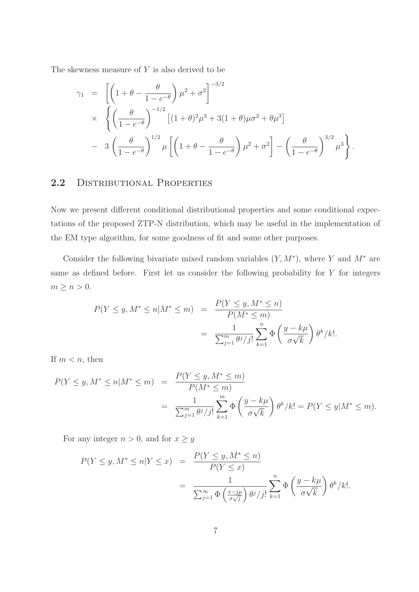The skewness measure of  $Y$  is also derived to be

$$
\gamma_1 = \left[ \left( 1 + \theta - \frac{\theta}{1 - e^{-\theta}} \right) \mu^2 + \sigma^2 \right]^{-3/2} \times \left\{ \left( \frac{\theta}{1 - e^{-\theta}} \right)^{-1/2} \left[ (1 + \theta)^2 \mu^3 + 3(1 + \theta) \mu \sigma^2 + \theta \mu^3 \right] \right. \left. - 3 \left( \frac{\theta}{1 - e^{-\theta}} \right)^{1/2} \mu \left[ \left( 1 + \theta - \frac{\theta}{1 - e^{-\theta}} \right) \mu^2 + \sigma^2 \right] - \left( \frac{\theta}{1 - e^{-\theta}} \right)^{3/2} \mu^3 \right\}.
$$

#### 2.2 DISTRIBUTIONAL PROPERTIES

Now we present different conditional distributional properties and some conditional expectations of the proposed ZTP-N distribution, which may be useful in the implementation of the EM type algorithm, for some goodness of fit and some other purposes.

Consider the following bivariate mixed random variables  $(Y, M^*)$ , where Y and  $M^*$  are same as defined before. First let us consider the following probability for Y for integers  $m \geq n > 0$ .

$$
P(Y \le y, M^* \le n | M^* \le m) = \frac{P(Y \le y, M^* \le n)}{P(M^* \le m)}
$$
  
= 
$$
\frac{1}{\sum_{j=1}^m \theta^j / j!} \sum_{k=1}^n \Phi\left(\frac{y - k\mu}{\sigma \sqrt{k}}\right) \theta^k / k!.
$$

If  $m < n$ , then

$$
P(Y \le y, M^* \le n | M^* \le m) = \frac{P(Y \le y, M^* \le m)}{P(M^* \le m)}
$$
  
= 
$$
\frac{1}{\sum_{j=1}^m \theta^j / j!} \sum_{k=1}^m \Phi\left(\frac{y - k\mu}{\sigma\sqrt{k}}\right) \theta^k / k! = P(Y \le y | M^* \le m).
$$

For any integer  $n>0,$  and for  $x\geq y$ 

$$
P(Y \le y, M^* \le n | Y \le x) = \frac{P(Y \le y, M^* \le n)}{P(Y \le x)}
$$
  
= 
$$
\frac{1}{\sum_{j=1}^{\infty} \Phi\left(\frac{x - j\mu}{\sigma\sqrt{j}}\right) \theta^j / j!} \sum_{k=1}^n \Phi\left(\frac{y - k\mu}{\sigma\sqrt{k}}\right) \theta^k / k!.
$$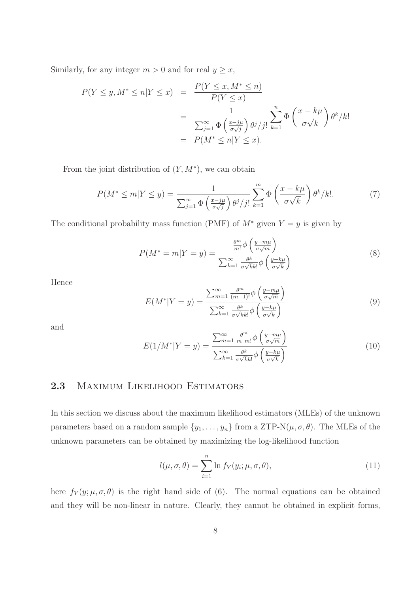Similarly, for any integer  $m > 0$  and for real  $y \geq x$ ,

$$
P(Y \le y, M^* \le n | Y \le x) = \frac{P(Y \le x, M^* \le n)}{P(Y \le x)}
$$
  
= 
$$
\frac{1}{\sum_{j=1}^{\infty} \Phi\left(\frac{x - j\mu}{\sigma\sqrt{j}}\right) \theta^j / j!} \sum_{k=1}^n \Phi\left(\frac{x - k\mu}{\sigma\sqrt{k}}\right) \theta^k / k!
$$
  
= 
$$
P(M^* \le n | Y \le x).
$$

From the joint distribution of  $(Y, M^*)$ , we can obtain

$$
P(M^* \le m | Y \le y) = \frac{1}{\sum_{j=1}^{\infty} \Phi\left(\frac{x - j\mu}{\sigma\sqrt{j}}\right) \theta^j / j!} \sum_{k=1}^m \Phi\left(\frac{x - k\mu}{\sigma\sqrt{k}}\right) \theta^k / k!.
$$
 (7)

The conditional probability mass function (PMF) of  $M^*$  given  $Y = y$  is given by

$$
P(M^* = m|Y = y) = \frac{\frac{\theta^m}{m!} \phi\left(\frac{y - m\mu}{\sigma\sqrt{m}}\right)}{\sum_{k=1}^{\infty} \frac{\theta^k}{\sigma\sqrt{k}k!} \phi\left(\frac{y - k\mu}{\sigma\sqrt{k}}\right)}
$$
(8)

Hence

$$
E(M^*|Y=y) = \frac{\sum_{m=1}^{\infty} \frac{\theta^m}{(m-1)!} \phi\left(\frac{y-m\mu}{\sigma\sqrt{m}}\right)}{\sum_{k=1}^{\infty} \frac{\theta^k}{\sigma\sqrt{k}k!} \phi\left(\frac{y-k\mu}{\sigma\sqrt{k}}\right)}
$$
(9)

and

$$
E(1/M^*|Y=y) = \frac{\sum_{m=1}^{\infty} \frac{\theta^m}{m \, m!} \phi\left(\frac{y - m\mu}{\sigma\sqrt{m}}\right)}{\sum_{k=1}^{\infty} \frac{\theta^k}{\sigma\sqrt{k}k!} \phi\left(\frac{y - k\mu}{\sigma\sqrt{k}}\right)}
$$
(10)

#### 2.3 Maximum Likelihood Estimators

In this section we discuss about the maximum likelihood estimators (MLEs) of the unknown parameters based on a random sample  $\{y_1, \ldots, y_n\}$  from a ZTP-N $(\mu, \sigma, \theta)$ . The MLEs of the unknown parameters can be obtained by maximizing the log-likelihood function

$$
l(\mu, \sigma, \theta) = \sum_{i=1}^{n} \ln f_{Y}(y_i; \mu, \sigma, \theta), \qquad (11)
$$

here  $f_Y(y; \mu, \sigma, \theta)$  is the right hand side of (6). The normal equations can be obtained and they will be non-linear in nature. Clearly, they cannot be obtained in explicit forms,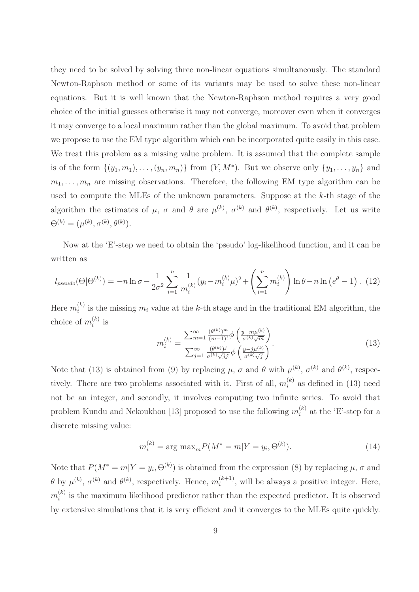they need to be solved by solving three non-linear equations simultaneously. The standard Newton-Raphson method or some of its variants may be used to solve these non-linear equations. But it is well known that the Newton-Raphson method requires a very good choice of the initial guesses otherwise it may not converge, moreover even when it converges it may converge to a local maximum rather than the global maximum. To avoid that problem we propose to use the EM type algorithm which can be incorporated quite easily in this case. We treat this problem as a missing value problem. It is assumed that the complete sample is of the form  $\{(y_1, m_1), \ldots, (y_n, m_n)\}\$ from  $(Y, M^*)$ . But we observe only  $\{y_1, \ldots, y_n\}$  and  $m_1, \ldots, m_n$  are missing observations. Therefore, the following EM type algorithm can be used to compute the MLEs of the unknown parameters. Suppose at the k-th stage of the algorithm the estimates of  $\mu$ ,  $\sigma$  and  $\theta$  are  $\mu^{(k)}$ ,  $\sigma^{(k)}$  and  $\theta^{(k)}$ , respectively. Let us write  $\Theta^{(k)} = (\mu^{(k)}, \sigma^{(k)}, \theta^{(k)}).$ 

Now at the 'E'-step we need to obtain the 'pseudo' log-likelihood function, and it can be written as

$$
l_{pseudo}(\Theta|\Theta^{(k)}) = -n \ln \sigma - \frac{1}{2\sigma^2} \sum_{i=1}^n \frac{1}{m_i^{(k)}} (y_i - m_i^{(k)}\mu)^2 + \left(\sum_{i=1}^n m_i^{(k)}\right) \ln \theta - n \ln \left(e^{\theta} - 1\right). \tag{12}
$$

Here  $m_i^{(k)}$  $i<sup>(k)</sup>$  is the missing  $m<sub>i</sub>$  value at the k-th stage and in the traditional EM algorithm, the choice of  $m_i^{(k)}$  $i^{(\kappa)}$  is

$$
m_i^{(k)} = \frac{\sum_{m=1}^{\infty} \frac{(\theta^{(k)})^m}{(m-1)!} \phi\left(\frac{y - m\mu^{(k)}}{\sigma^{(k)}\sqrt{m}}\right)}{\sum_{j=1}^{\infty} \frac{(\theta^{(k)})^j}{\sigma^{(k)}\sqrt{j}j!} \phi\left(\frac{y - j\mu^{(k)}}{\sigma^{(k)}\sqrt{j}}\right)}.
$$
(13)

Note that (13) is obtained from (9) by replacing  $\mu$ ,  $\sigma$  and  $\theta$  with  $\mu^{(k)}$ ,  $\sigma^{(k)}$  and  $\theta^{(k)}$ , respectively. There are two problems associated with it. First of all,  $m_i^{(k)}$  $i^{(k)}$  as defined in (13) need not be an integer, and secondly, it involves computing two infinite series. To avoid that problem Kundu and Nekoukhou [13] proposed to use the following  $m_i^{(k)}$  $i^{(k)}$  at the 'E'-step for a discrete missing value:

$$
m_i^{(k)} = \arg \max_{m} P(M^* = m | Y = y_i, \Theta^{(k)}).
$$
 (14)

Note that  $P(M^* = m | Y = y_i, \Theta^{(k)})$  is obtained from the expression (8) by replacing  $\mu$ ,  $\sigma$  and  $\theta$  by  $\mu^{(k)}$ ,  $\sigma^{(k)}$  and  $\theta^{(k)}$ , respectively. Hence,  $m_i^{(k+1)}$  $\binom{k+1}{i}$ , will be always a positive integer. Here,  $m_i^{(k)}$  $i<sub>i</sub>$  is the maximum likelihood predictor rather than the expected predictor. It is observed by extensive simulations that it is very efficient and it converges to the MLEs quite quickly.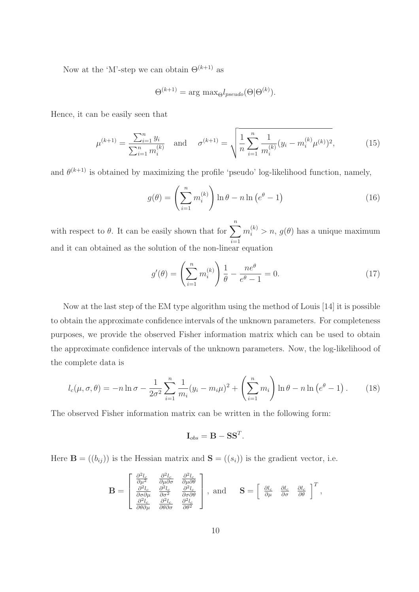Now at the 'M'-step we can obtain  $\Theta^{(k+1)}$  as

$$
\Theta^{(k+1)} = \arg \max_{\Theta} l_{pseudo}(\Theta | \Theta^{(k)}).
$$

Hence, it can be easily seen that

$$
\mu^{(k+1)} = \frac{\sum_{i=1}^{n} y_i}{\sum_{i=1}^{n} m_i^{(k)}} \quad \text{and} \quad \sigma^{(k+1)} = \sqrt{\frac{1}{n} \sum_{i=1}^{n} \frac{1}{m_i^{(k)}} (y_i - m_i^{(k)} \mu^{(k)})^2},\tag{15}
$$

and  $\theta^{(k+1)}$  is obtained by maximizing the profile 'pseudo' log-likelihood function, namely,

$$
g(\theta) = \left(\sum_{i=1}^{n} m_i^{(k)}\right) \ln \theta - n \ln \left(e^{\theta} - 1\right)
$$
 (16)

with respect to  $\theta$ . It can be easily shown that for  $\sum_{n=1}^n$  $i=1$  $m_i^{(k)} > n, g(\theta)$  has a unique maximum and it can obtained as the solution of the non-linear equation

$$
g'(\theta) = \left(\sum_{i=1}^{n} m_i^{(k)}\right) \frac{1}{\theta} - \frac{ne^{\theta}}{e^{\theta} - 1} = 0.
$$
 (17)

Now at the last step of the EM type algorithm using the method of Louis [14] it is possible to obtain the approximate confidence intervals of the unknown parameters. For completeness purposes, we provide the observed Fisher information matrix which can be used to obtain the approximate confidence intervals of the unknown parameters. Now, the log-likelihood of the complete data is

$$
l_c(\mu, \sigma, \theta) = -n \ln \sigma - \frac{1}{2\sigma^2} \sum_{i=1}^n \frac{1}{m_i} (y_i - m_i \mu)^2 + \left( \sum_{i=1}^n m_i \right) \ln \theta - n \ln \left( e^{\theta} - 1 \right). \tag{18}
$$

.

The observed Fisher information matrix can be written in the following form:

$$
\mathbf{I}_{obs} = \mathbf{B} - \mathbf{S}\mathbf{S}^T
$$

Here  $\mathbf{B} = ((b_{ij}))$  is the Hessian matrix and  $\mathbf{S} = ((s_i))$  is the gradient vector, i.e.

$$
\mathbf{B} = \begin{bmatrix} \frac{\partial^2 l_c}{\partial \mu^2} & \frac{\partial^2 l_c}{\partial \mu \partial \sigma} & \frac{\partial^2 l_c}{\partial \mu \partial \theta} \\ \frac{\partial^2 l_c}{\partial \sigma \partial \mu} & \frac{\partial^2 l_c}{\partial \sigma^2} & \frac{\partial^2 l_c}{\partial \sigma \partial \theta} \\ \frac{\partial^2 l_c}{\partial \theta \partial \mu} & \frac{\partial^2 l_c}{\partial \theta \partial \sigma} & \frac{\partial^2 l_c}{\partial \theta^2} \end{bmatrix}, \text{ and } \mathbf{S} = \begin{bmatrix} \frac{\partial l_c}{\partial \mu} & \frac{\partial l_c}{\partial \sigma} & \frac{\partial l_c}{\partial \theta} \\ \frac{\partial l_c}{\partial \mu} & \frac{\partial l_c}{\partial \theta} & \frac{\partial l_c}{\partial \theta} \end{bmatrix}^T,
$$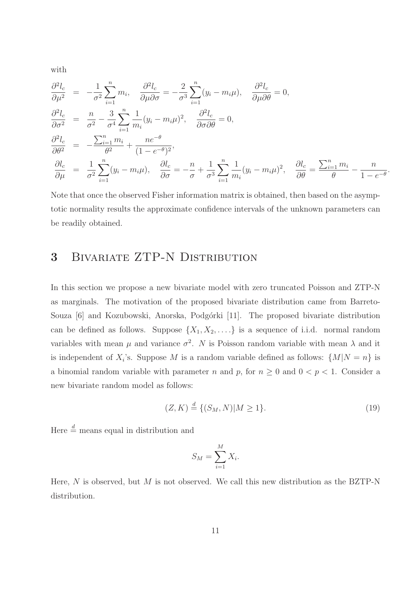with

$$
\frac{\partial^2 l_c}{\partial \mu^2} = -\frac{1}{\sigma^2} \sum_{i=1}^n m_i, \quad \frac{\partial^2 l_c}{\partial \mu \partial \sigma} = -\frac{2}{\sigma^3} \sum_{i=1}^n (y_i - m_i \mu), \quad \frac{\partial^2 l_c}{\partial \mu \partial \theta} = 0,
$$
  

$$
\frac{\partial^2 l_c}{\partial \sigma^2} = \frac{n}{\sigma^2} - \frac{3}{\sigma^4} \sum_{i=1}^n \frac{1}{m_i} (y_i - m_i \mu)^2, \quad \frac{\partial^2 l_c}{\partial \sigma \partial \theta} = 0,
$$
  

$$
\frac{\partial^2 l_c}{\partial \theta^2} = -\frac{\sum_{i=1}^n m_i}{\theta^2} + \frac{ne^{-\theta}}{(1 - e^{-\theta})^2},
$$
  

$$
\frac{\partial l_c}{\partial \mu} = \frac{1}{\sigma^2} \sum_{i=1}^n (y_i - m_i \mu), \quad \frac{\partial l_c}{\partial \sigma} = -\frac{n}{\sigma} + \frac{1}{\sigma^3} \sum_{i=1}^n \frac{1}{m_i} (y_i - m_i \mu)^2, \quad \frac{\partial l_c}{\partial \theta} = \frac{\sum_{i=1}^n m_i}{\theta} - \frac{n}{1 - e^{-\theta}}.
$$

Note that once the observed Fisher information matrix is obtained, then based on the asymptotic normality results the approximate confidence intervals of the unknown parameters can be readily obtained.

## 3 Bivariate ZTP-N Distribution

In this section we propose a new bivariate model with zero truncated Poisson and ZTP-N as marginals. The motivation of the proposed bivariate distribution came from Barreto-Souza [6] and Kozubowski, Anorska, Podgórki [11]. The proposed bivariate distribution can be defined as follows. Suppose  $\{X_1, X_2, \ldots\}$  is a sequence of i.i.d. normal random variables with mean  $\mu$  and variance  $\sigma^2$ . N is Poisson random variable with mean  $\lambda$  and it is independent of  $X_i$ 's. Suppose M is a random variable defined as follows:  $\{M|N=n\}$  is a binomial random variable with parameter n and p, for  $n \geq 0$  and  $0 < p < 1$ . Consider a new bivariate random model as follows:

$$
(Z, K) \stackrel{d}{=} \{ (S_M, N) | M \ge 1 \}. \tag{19}
$$

Here  $\stackrel{d}{=}$  means equal in distribution and

$$
S_M = \sum_{i=1}^M X_i.
$$

Here,  $N$  is observed, but  $M$  is not observed. We call this new distribution as the BZTP-N distribution.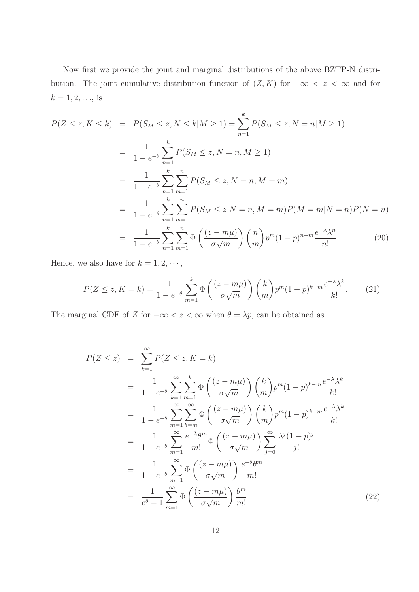Now first we provide the joint and marginal distributions of the above BZTP-N distribution. The joint cumulative distribution function of  $(Z, K)$  for  $-\infty < z < \infty$  and for  $k = 1, 2, ...,$  is

$$
P(Z \le z, K \le k) = P(S_M \le z, N \le k | M \ge 1) = \sum_{n=1}^{k} P(S_M \le z, N = n | M \ge 1)
$$
  
= 
$$
\frac{1}{1 - e^{-\theta}} \sum_{n=1}^{k} P(S_M \le z, N = n, M \ge 1)
$$
  
= 
$$
\frac{1}{1 - e^{-\theta}} \sum_{n=1}^{k} \sum_{m=1}^{n} P(S_M \le z, N = n, M = m)
$$
  
= 
$$
\frac{1}{1 - e^{-\theta}} \sum_{n=1}^{k} \sum_{m=1}^{n} P(S_M \le z | N = n, M = m) P(M = m | N = n) P(N = n)
$$
  
= 
$$
\frac{1}{1 - e^{-\theta}} \sum_{n=1}^{k} \sum_{m=1}^{n} \Phi\left(\frac{(z - m\mu)}{\sigma\sqrt{m}}\right) {n \choose m} p^m (1 - p)^{n - m} \frac{e^{-\lambda} \lambda^n}{n!}.
$$
 (20)

Hence, we also have for  $k = 1, 2, \dots$ ,

$$
P(Z \le z, K = k) = \frac{1}{1 - e^{-\theta}} \sum_{m=1}^{k} \Phi\left(\frac{(z - m\mu)}{\sigma\sqrt{m}}\right) {k \choose m} p^{m} (1 - p)^{k - m} \frac{e^{-\lambda} \lambda^{k}}{k!}.
$$
 (21)

The marginal CDF of Z for  $-\infty < z < \infty$  when  $\theta = \lambda p$ , can be obtained as

$$
P(Z \le z) = \sum_{k=1}^{\infty} P(Z \le z, K = k)
$$
  
= 
$$
\frac{1}{1 - e^{-\theta}} \sum_{k=1}^{\infty} \sum_{m=1}^{k} \Phi\left(\frac{(z - m\mu)}{\sigma\sqrt{m}}\right) {k \choose m} p^m (1 - p)^{k-m} \frac{e^{-\lambda} \lambda^k}{k!}
$$
  
= 
$$
\frac{1}{1 - e^{-\theta}} \sum_{m=1}^{\infty} \sum_{k=m}^{\infty} \Phi\left(\frac{(z - m\mu)}{\sigma\sqrt{m}}\right) {k \choose m} p^m (1 - p)^{k-m} \frac{e^{-\lambda} \lambda^k}{k!}
$$
  
= 
$$
\frac{1}{1 - e^{-\theta}} \sum_{m=1}^{\infty} \frac{e^{-\lambda} \theta^m}{m!} \Phi\left(\frac{(z - m\mu)}{\sigma\sqrt{m}}\right) \sum_{j=0}^{\infty} \frac{\lambda^j (1 - p)^j}{j!}
$$
  
= 
$$
\frac{1}{1 - e^{-\theta}} \sum_{m=1}^{\infty} \Phi\left(\frac{(z - m\mu)}{\sigma\sqrt{m}}\right) \frac{e^{-\theta} \theta^m}{m!}
$$
  
= 
$$
\frac{1}{e^{\theta} - 1} \sum_{m=1}^{\infty} \Phi\left(\frac{(z - m\mu)}{\sigma\sqrt{m}}\right) \frac{\theta^m}{m!}
$$
(22)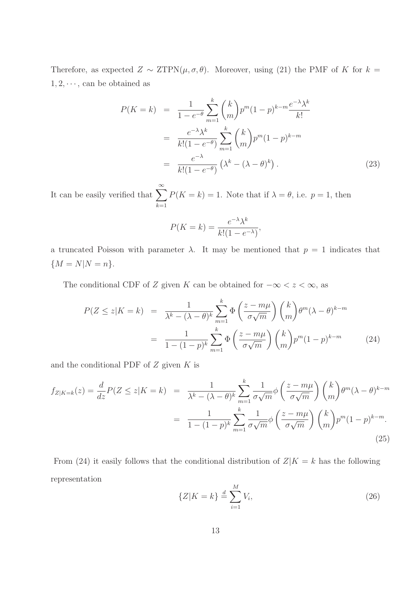Therefore, as expected  $Z \sim \text{ZTPN}(\mu, \sigma, \theta)$ . Moreover, using (21) the PMF of K for  $k =$  $1, 2, \dots$ , can be obtained as

$$
P(K=k) = \frac{1}{1 - e^{-\theta}} \sum_{m=1}^{k} {k \choose m} p^{m} (1-p)^{k-m} \frac{e^{-\lambda} \lambda^{k}}{k!}
$$

$$
= \frac{e^{-\lambda} \lambda^{k}}{k! (1 - e^{-\theta})} \sum_{m=1}^{k} {k \choose m} p^{m} (1-p)^{k-m}
$$

$$
= \frac{e^{-\lambda}}{k! (1 - e^{-\theta})} (\lambda^{k} - (\lambda - \theta)^{k}). \tag{23}
$$

It can be easily verified that  $\sum_{n=1}^{\infty}$  $k=1$  $P(K = k) = 1$ . Note that if  $\lambda = \theta$ , i.e.  $p = 1$ , then

$$
P(K = k) = \frac{e^{-\lambda} \lambda^k}{k! (1 - e^{-\lambda})},
$$

a truncated Poisson with parameter  $\lambda$ . It may be mentioned that  $p = 1$  indicates that  ${M = N|N = n}.$ 

The conditional CDF of Z given K can be obtained for  $-\infty < z < \infty$ , as

$$
P(Z \le z|K = k) = \frac{1}{\lambda^k - (\lambda - \theta)^k} \sum_{m=1}^k \Phi\left(\frac{z - m\mu}{\sigma\sqrt{m}}\right) {k \choose m} \theta^m (\lambda - \theta)^{k - m}
$$

$$
= \frac{1}{1 - (1 - p)^k} \sum_{m=1}^k \Phi\left(\frac{z - m\mu}{\sigma\sqrt{m}}\right) {k \choose m} p^m (1 - p)^{k - m} \tag{24}
$$

and the conditional PDF of  $Z$  given  $K$  is

$$
f_{Z|K=k}(z) = \frac{d}{dz}P(Z \le z|K=k) = \frac{1}{\lambda^k - (\lambda - \theta)^k} \sum_{m=1}^k \frac{1}{\sigma\sqrt{m}} \phi\left(\frac{z - m\mu}{\sigma\sqrt{m}}\right) {k \choose m} \theta^m (\lambda - \theta)^{k-m}
$$

$$
= \frac{1}{1 - (1 - p)^k} \sum_{m=1}^k \frac{1}{\sigma\sqrt{m}} \phi\left(\frac{z - m\mu}{\sigma\sqrt{m}}\right) {k \choose m} p^m (1 - p)^{k - m}.
$$
(25)

From (24) it easily follows that the conditional distribution of  $Z|K = k$  has the following representation

$$
\{Z|K=k\} \stackrel{d}{=} \sum_{i=1}^{M} V_i,
$$
\n(26)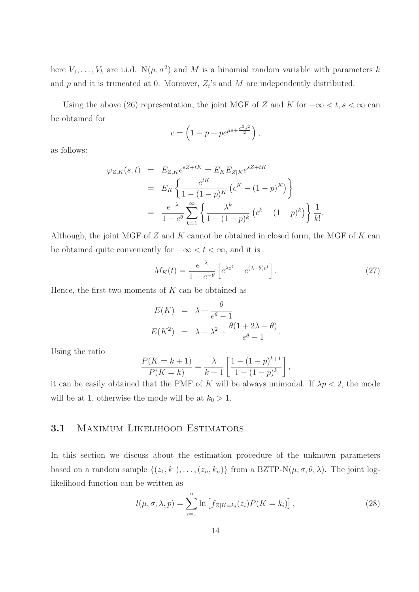here  $V_1, \ldots, V_k$  are i.i.d.  $N(\mu, \sigma^2)$  and M is a binomial random variable with parameters k and  $p$  and it is truncated at 0. Moreover,  $Z_i$ 's and  $M$  are independently distributed.

Using the above (26) representation, the joint MGF of Z and K for  $-\infty < t, s < \infty$  can be obtained for

$$
c = \left(1 - p + pe^{\mu s + \frac{\sigma^2 s^2}{2}}\right),
$$

as follows:

$$
\varphi_{Z,K}(s,t) = E_{Z,K}e^{sZ+tK} = E_{K}E_{Z|K}e^{sZ+tK}
$$
  
=  $E_{K}\left\{\frac{e^{tK}}{1-(1-p)^{K}}\left(c^{K}-(1-p)^{K}\right)\right\}$   
=  $\frac{e^{-\lambda}}{1-e^{\theta}}\sum_{k=1}^{\infty}\left\{\frac{\lambda^{k}}{1-(1-p)^{k}}\left(c^{k}-(1-p)^{k}\right)\right\}\frac{1}{k!}.$ 

Although, the joint MGF of  $Z$  and  $K$  cannot be obtained in closed form, the MGF of  $K$  can be obtained quite conveniently for  $-\infty < t < \infty$ , and it is

$$
M_K(t) = \frac{e^{-\lambda}}{1 - e^{-\theta}} \left[ e^{\lambda e^t} - e^{(\lambda - \theta)e^t} \right].
$$
 (27)

Hence, the first two moments of  $K$  can be obtained as

$$
E(K) = \lambda + \frac{\theta}{e^{\theta} - 1}
$$
  

$$
E(K^{2}) = \lambda + \lambda^{2} + \frac{\theta(1 + 2\lambda - \theta)}{e^{\theta} - 1}.
$$

Using the ratio

$$
\frac{P(K = k + 1)}{P(K = k)} = \frac{\lambda}{k+1} \left[ \frac{1 - (1-p)^{k+1}}{1 - (1-p)^k} \right],
$$

it can be easily obtained that the PMF of K will be always unimodal. If  $\lambda p < 2$ , the mode will be at 1, otherwise the mode will be at  $k_0 > 1$ .

#### 3.1 Maximum Likelihood Estimators

In this section we discuss about the estimation procedure of the unknown parameters based on a random sample  $\{(z_1, k_1), \ldots, (z_n, k_n)\}\$ from a BZTP-N $(\mu, \sigma, \theta, \lambda)$ . The joint loglikelihood function can be written as

$$
l(\mu, \sigma, \lambda, p) = \sum_{i=1}^{n} \ln \left[ f_{Z|K=k_i}(z_i) P(K=k_i) \right],
$$
 (28)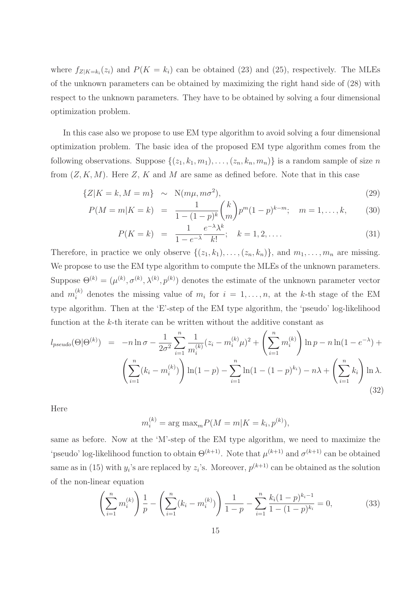where  $f_{Z|K=k_i}(z_i)$  and  $P(K=k_i)$  can be obtained (23) and (25), respectively. The MLEs of the unknown parameters can be obtained by maximizing the right hand side of (28) with respect to the unknown parameters. They have to be obtained by solving a four dimensional optimization problem.

In this case also we propose to use EM type algorithm to avoid solving a four dimensional optimization problem. The basic idea of the proposed EM type algorithm comes from the following observations. Suppose  $\{(z_1, k_1, m_1), \ldots, (z_n, k_n, m_n)\}\$ is a random sample of size n from  $(Z, K, M)$ . Here Z, K and M are same as defined before. Note that in this case

$$
\{Z|K=k, M=m\} \sim \mathcal{N}(m\mu, m\sigma^2),\tag{29}
$$

$$
P(M=m|K=k) = \frac{1}{1-(1-p)^k} {k \choose m} p^m (1-p)^{k-m}; \quad m=1,\ldots,k,
$$
 (30)

$$
P(K = k) = \frac{1}{1 - e^{-\lambda}} \frac{e^{-\lambda} \lambda^k}{k!}; \quad k = 1, 2, ....
$$
 (31)

Therefore, in practice we only observe  $\{(z_1, k_1), \ldots, (z_n, k_n)\}\$ , and  $m_1, \ldots, m_n$  are missing. We propose to use the EM type algorithm to compute the MLEs of the unknown parameters. Suppose  $\Theta^{(k)} = (\mu^{(k)}, \sigma^{(k)}, \lambda^{(k)}, p^{(k)})$  denotes the estimate of the unknown parameter vector and  $m_i^{(k)}$  denotes the missing value of  $m_i$  for  $i = 1, \ldots, n$ , at the k-th stage of the EM type algorithm. Then at the 'E'-step of the EM type algorithm, the 'pseudo' log-likelihood function at the k-th iterate can be written without the additive constant as

$$
l_{pseudo}(\Theta|\Theta^{(k)}) = -n \ln \sigma - \frac{1}{2\sigma^2} \sum_{i=1}^n \frac{1}{m_i^{(k)}} (z_i - m_i^{(k)}\mu)^2 + \left(\sum_{i=1}^n m_i^{(k)}\right) \ln p - n \ln(1 - e^{-\lambda}) + \left(\sum_{i=1}^n (k_i - m_i^{(k)})\right) \ln(1 - p) - \sum_{i=1}^n \ln(1 - (1 - p)^{k_i}) - n\lambda + \left(\sum_{i=1}^n k_i\right) \ln \lambda.
$$
\n(32)

Here

$$
m_i^{(k)} = \arg \max_m P(M = m | K = k_i, p^{(k)}),
$$

same as before. Now at the 'M'-step of the EM type algorithm, we need to maximize the 'pseudo' log-likelihood function to obtain  $\Theta^{(k+1)}$ . Note that  $\mu^{(k+1)}$  and  $\sigma^{(k+1)}$  can be obtained same as in (15) with  $y_i$ 's are replaced by  $z_i$ 's. Moreover,  $p^{(k+1)}$  can be obtained as the solution of the non-linear equation

$$
\left(\sum_{i=1}^{n} m_i^{(k)}\right) \frac{1}{p} - \left(\sum_{i=1}^{n} (k_i - m_i^{(k)})\right) \frac{1}{1-p} - \sum_{i=1}^{n} \frac{k_i (1-p)^{k_i - 1}}{1 - (1-p)^{k_i}} = 0,
$$
\n(33)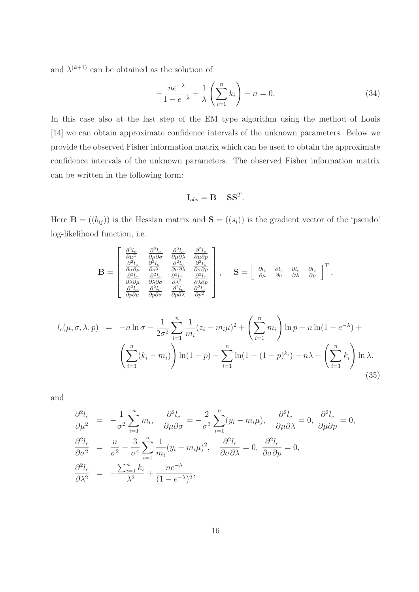and  $\lambda^{(k+1)}$  can be obtained as the solution of

$$
-\frac{ne^{-\lambda}}{1-e^{-\lambda}} + \frac{1}{\lambda} \left(\sum_{i=1}^{n} k_i\right) - n = 0.
$$
 (34)

In this case also at the last step of the EM type algorithm using the method of Louis [14] we can obtain approximate confidence intervals of the unknown parameters. Below we provide the observed Fisher information matrix which can be used to obtain the approximate confidence intervals of the unknown parameters. The observed Fisher information matrix can be written in the following form:

$$
\mathbf{I}_{obs} = \mathbf{B} - \mathbf{S}\mathbf{S}^T.
$$

Here  $\mathbf{B} = ((b_{ij}))$  is the Hessian matrix and  $\mathbf{S} = ((s_i))$  is the gradient vector of the 'pseudo' log-likelihood function, i.e.

$$
\mathbf{B} = \begin{bmatrix} \frac{\partial^2 l_c}{\partial \mu^2} & \frac{\partial^2 l_c}{\partial \mu \partial \sigma} & \frac{\partial^2 l_c}{\partial \mu \partial \lambda} & \frac{\partial^2 l_c}{\partial \mu \partial p} \\ \frac{\partial^2 l_c}{\partial \sigma \partial \mu} & \frac{\partial^2 l_c}{\partial \sigma^2} & \frac{\partial^2 l_c}{\partial \sigma \partial \lambda} & \frac{\partial^2 l_c}{\partial \sigma \partial p} \\ \frac{\partial^2 l_c}{\partial \lambda \partial \mu} & \frac{\partial^2 l_c}{\partial \lambda \partial \sigma} & \frac{\partial^2 l_c}{\partial \lambda^2} & \frac{\partial^2 l_c}{\partial \lambda \partial p} \\ \frac{\partial^2 l_c}{\partial p \partial \mu} & \frac{\partial^2 l_c}{\partial p \partial \sigma} & \frac{\partial^2 l_c}{\partial p \partial \lambda} & \frac{\partial^2 l_c}{\partial p^2} \end{bmatrix}, \quad \mathbf{S} = \begin{bmatrix} \frac{\partial l_c}{\partial \mu} & \frac{\partial l_c}{\partial \sigma} & \frac{\partial l_c}{\partial \lambda} & \frac{\partial l_c}{\partial p} \end{bmatrix}^T,
$$

$$
l_c(\mu, \sigma, \lambda, p) = -n \ln \sigma - \frac{1}{2\sigma^2} \sum_{i=1}^n \frac{1}{m_i} (z_i - m_i \mu)^2 + \left(\sum_{i=1}^n m_i\right) \ln p - n \ln(1 - e^{-\lambda}) + \left(\sum_{i=1}^n (k_i - m_i)\right) \ln(1 - p) - \sum_{i=1}^n \ln(1 - (1 - p)^{k_i}) - n\lambda + \left(\sum_{i=1}^n k_i\right) \ln \lambda.
$$
\n(35)

and

$$
\frac{\partial^2 l_c}{\partial \mu^2} = -\frac{1}{\sigma^2} \sum_{i=1}^n m_i, \quad \frac{\partial^2 l_c}{\partial \mu \partial \sigma} = -\frac{2}{\sigma^3} \sum_{i=1}^n (y_i - m_i \mu), \quad \frac{\partial^2 l_c}{\partial \mu \partial \lambda} = 0, \quad \frac{\partial^2 l_c}{\partial \mu \partial \rho} = 0,
$$
  

$$
\frac{\partial^2 l_c}{\partial \sigma^2} = \frac{n}{\sigma^2} - \frac{3}{\sigma^4} \sum_{i=1}^n \frac{1}{m_i} (y_i - m_i \mu)^2, \quad \frac{\partial^2 l_c}{\partial \sigma \partial \lambda} = 0, \quad \frac{\partial^2 l_c}{\partial \sigma \partial \rho} = 0,
$$
  

$$
\frac{\partial^2 l_c}{\partial \lambda^2} = -\frac{\sum_{i=1}^n k_i}{\lambda^2} + \frac{n e^{-\lambda}}{(1 - e^{-\lambda})^2},
$$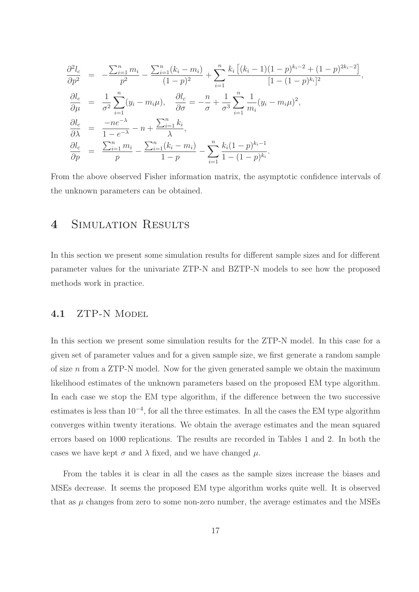$$
\frac{\partial^2 l_c}{\partial p^2} = -\frac{\sum_{i=1}^n m_i}{p^2} - \frac{\sum_{i=1}^n (k_i - m_i)}{(1 - p)^2} + \sum_{i=1}^n \frac{k_i [(k_i - 1)(1 - p)^{k_i - 2} + (1 - p)^{2k_i - 2}]}{[1 - (1 - p)^{k_i}]^2},
$$
  
\n
$$
\frac{\partial l_c}{\partial \mu} = \frac{1}{\sigma^2} \sum_{i=1}^n (y_i - m_i \mu), \quad \frac{\partial l_c}{\partial \sigma} = -\frac{n}{\sigma} + \frac{1}{\sigma^3} \sum_{i=1}^n \frac{1}{m_i} (y_i - m_i \mu)^2,
$$
  
\n
$$
\frac{\partial l_c}{\partial \lambda} = \frac{-ne^{-\lambda}}{1 - e^{-\lambda}} - n + \frac{\sum_{i=1}^n k_i}{\lambda},
$$
  
\n
$$
\frac{\partial l_c}{\partial p} = \frac{\sum_{i=1}^n m_i}{p} - \frac{\sum_{i=1}^n (k_i - m_i)}{1 - p} - \sum_{i=1}^n \frac{k_i (1 - p)^{k_i - 1}}{1 - (1 - p)^{k_i}}.
$$

From the above observed Fisher information matrix, the asymptotic confidence intervals of the unknown parameters can be obtained.

### 4 SIMULATION RESULTS

In this section we present some simulation results for different sample sizes and for different parameter values for the univariate ZTP-N and BZTP-N models to see how the proposed methods work in practice.

#### 4.1 ZTP-N MODEL

In this section we present some simulation results for the ZTP-N model. In this case for a given set of parameter values and for a given sample size, we first generate a random sample of size  $n$  from a ZTP-N model. Now for the given generated sample we obtain the maximum likelihood estimates of the unknown parameters based on the proposed EM type algorithm. In each case we stop the EM type algorithm, if the difference between the two successive estimates is less than 10−<sup>4</sup> , for all the three estimates. In all the cases the EM type algorithm converges within twenty iterations. We obtain the average estimates and the mean squared errors based on 1000 replications. The results are recorded in Tables 1 and 2. In both the cases we have kept  $\sigma$  and  $\lambda$  fixed, and we have changed  $\mu$ .

From the tables it is clear in all the cases as the sample sizes increase the biases and MSEs decrease. It seems the proposed EM type algorithm works quite well. It is observed that as  $\mu$  changes from zero to some non-zero number, the average estimates and the MSEs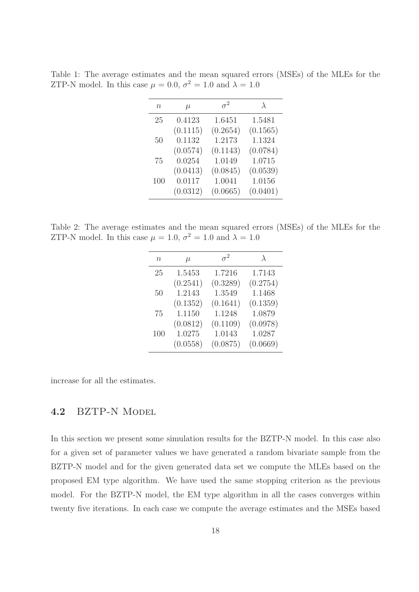Table 1: The average estimates and the mean squared errors (MSEs) of the MLEs for the ZTP-N model. In this case  $\mu = 0.0, \sigma^2 = 1.0$  and  $\lambda = 1.0$ 

| n   | $\mu$    | $\sigma^2$ | $\lambda$ |
|-----|----------|------------|-----------|
| 25  | 0.4123   | 1.6451     | 1.5481    |
|     | (0.1115) | (0.2654)   | (0.1565)  |
| 50  | 0.1132   | 1.2173     | 1.1324    |
|     | (0.0574) | (0.1143)   | (0.0784)  |
| 75  | 0.0254   | 1.0149     | 1.0715    |
|     | (0.0413) | (0.0845)   | (0.0539)  |
| 100 | 0.0117   | 1.0041     | 1.0156    |
|     | (0.0312) | (0.0665)   | (0.0401)  |

Table 2: The average estimates and the mean squared errors (MSEs) of the MLEs for the ZTP-N model. In this case  $\mu = 1.0, \sigma^2 = 1.0$  and  $\lambda = 1.0$ 

| $n\,$ | $\mu$    | $\sigma^2$ | $\lambda$ |
|-------|----------|------------|-----------|
| 25    | 1.5453   | 1.7216     | 1.7143    |
|       | (0.2541) | (0.3289)   | (0.2754)  |
| 50    | 1.2143   | 1.3549     | 1.1468    |
|       | (0.1352) | (0.1641)   | (0.1359)  |
| 75    | 1.1150   | 1.1248     | 1.0879    |
|       | (0.0812) | (0.1109)   | (0.0978)  |
| 100   | 1.0275   | 1.0143     | 1.0287    |
|       | (0.0558) | (0.0875)   | (0.0669)  |

increase for all the estimates.

#### 4.2 BZTP-N MODEL

In this section we present some simulation results for the BZTP-N model. In this case also for a given set of parameter values we have generated a random bivariate sample from the BZTP-N model and for the given generated data set we compute the MLEs based on the proposed EM type algorithm. We have used the same stopping criterion as the previous model. For the BZTP-N model, the EM type algorithm in all the cases converges within twenty five iterations. In each case we compute the average estimates and the MSEs based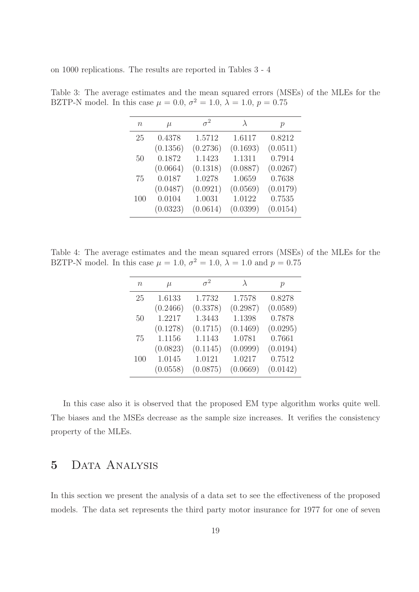on 1000 replications. The results are reported in Tables 3 - 4

| $\, n$ | $\mu$    | $\sigma^2$ |          | $\mathcal{p}$ |
|--------|----------|------------|----------|---------------|
| 25     | 0.4378   | 1.5712     | 1.6117   | 0.8212        |
|        | (0.1356) | (0.2736)   | (0.1693) | (0.0511)      |
| 50     | 0.1872   | 1.1423     | 1.1311   | 0.7914        |
|        | (0.0664) | (0.1318)   | (0.0887) | (0.0267)      |
| 75     | 0.0187   | 1.0278     | 1.0659   | 0.7638        |
|        | (0.0487) | (0.0921)   | (0.0569) | (0.0179)      |
| 100    | 0.0104   | 1.0031     | 1.0122   | 0.7535        |
|        | (0.0323) | (0.0614)   | (0.0399) | (0.0154)      |

Table 3: The average estimates and the mean squared errors (MSEs) of the MLEs for the BZTP-N model. In this case  $\mu = 0.0, \sigma^2 = 1.0, \lambda = 1.0, p = 0.75$ 

Table 4: The average estimates and the mean squared errors (MSEs) of the MLEs for the BZTP-N model. In this case  $\mu = 1.0, \sigma^2 = 1.0, \lambda = 1.0$  and  $p = 0.75$ 

| n   | $\mu$    | $\sigma^2$ | $\lambda$ | $\mathcal{p}$ |
|-----|----------|------------|-----------|---------------|
| 25  | 1.6133   | 1.7732     | 1.7578    | 0.8278        |
|     | (0.2466) | (0.3378)   | (0.2987)  | (0.0589)      |
| 50  | 1.2217   | 1.3443     | 1.1398    | 0.7878        |
|     | (0.1278) | (0.1715)   | (0.1469)  | (0.0295)      |
| 75  | 1.1156   | 1.1143     | 1.0781    | 0.7661        |
|     | (0.0823) | (0.1145)   | (0.0999)  | (0.0194)      |
| 100 | 1.0145   | 1.0121     | 1.0217    | 0.7512        |
|     | (0.0558) | (0.0875)   | (0.0669)  | (0.0142)      |

In this case also it is observed that the proposed EM type algorithm works quite well. The biases and the MSEs decrease as the sample size increases. It verifies the consistency property of the MLEs.

### 5 Data Analysis

In this section we present the analysis of a data set to see the effectiveness of the proposed models. The data set represents the third party motor insurance for 1977 for one of seven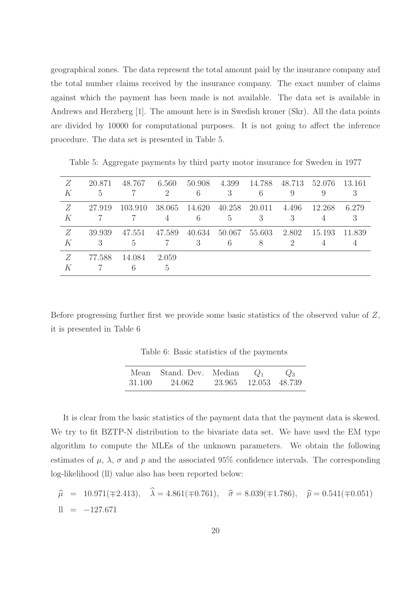geographical zones. The data represent the total amount paid by the insurance company and the total number claims received by the insurance company. The exact number of claims against which the payment has been made is not available. The data set is available in Andrews and Herzberg [1]. The amount here is in Swedish kroner (Skr). All the data points are divided by 10000 for computational purposes. It is not going to affect the inference procedure. The data set is presented in Table 5.

| Ζ<br>K | 20.871<br>5 | 48.767      | 6.560<br>$\overline{2}$ | 50.908<br>6 | 4.399<br>3  | 14.788 48.713 52.076<br>6 |       | 9           | - 13.161 |
|--------|-------------|-------------|-------------------------|-------------|-------------|---------------------------|-------|-------------|----------|
| Z<br>K | 27.919      | -103.910 -  | 38.065<br>4             | 14.620<br>6 | 40.258<br>5 | 20.011 4.496<br>3         | 3     | 12.268<br>4 | 6.279    |
| Z<br>К | 39.939<br>3 | 47.551<br>5 | 47.589                  | 40.634<br>3 | 6           | 50.067 55.603<br>8        | 2.802 | 15.193      | 11.839   |
| Ζ<br>K | 77.588      | 14.084<br>6 | 2.059<br>5.             |             |             |                           |       |             |          |

Table 5: Aggregate payments by third party motor insurance for Sweden in 1977

Before progressing further first we provide some basic statistics of the observed value of Z, it is presented in Table 6

Table 6: Basic statistics of the payments

|        | Mean Stand. Dev. Median | $Q_1$                | $Q_3$ |
|--------|-------------------------|----------------------|-------|
| 31.100 | 24.062                  | 23.965 12.053 48.739 |       |

It is clear from the basic statistics of the payment data that the payment data is skewed. We try to fit BZTP-N distribution to the bivariate data set. We have used the EM type algorithm to compute the MLEs of the unknown parameters. We obtain the following estimates of  $\mu$ ,  $\lambda$ ,  $\sigma$  and  $p$  and the associated 95% confidence intervals. The corresponding log-likelihood (ll) value also has been reported below:

$$
\begin{aligned}\n\widehat{\mu} &= 10.971(\mp 2.413), & \widehat{\lambda} &= 4.861(\mp 0.761), & \widehat{\sigma} &= 8.039(\mp 1.786), & \widehat{p} &= 0.541(\mp 0.051) \\
\text{ll} &= -127.671\n\end{aligned}
$$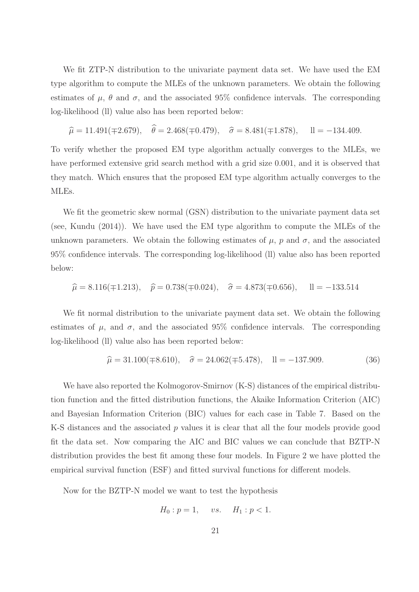We fit ZTP-N distribution to the univariate payment data set. We have used the EM type algorithm to compute the MLEs of the unknown parameters. We obtain the following estimates of  $\mu$ ,  $\theta$  and  $\sigma$ , and the associated 95% confidence intervals. The corresponding log-likelihood (ll) value also has been reported below:

$$
\hat{\mu} = 11.491(\pm 2.679), \quad \hat{\theta} = 2.468(\pm 0.479), \quad \hat{\sigma} = 8.481(\pm 1.878), \quad \text{ll} = -134.409.
$$

To verify whether the proposed EM type algorithm actually converges to the MLEs, we have performed extensive grid search method with a grid size 0.001, and it is observed that they match. Which ensures that the proposed EM type algorithm actually converges to the MLEs.

We fit the geometric skew normal (GSN) distribution to the univariate payment data set (see, Kundu (2014)). We have used the EM type algorithm to compute the MLEs of the unknown parameters. We obtain the following estimates of  $\mu$ ,  $p$  and  $\sigma$ , and the associated 95% confidence intervals. The corresponding log-likelihood (ll) value also has been reported below:

$$
\hat{\mu} = 8.116(\pm 1.213), \quad \hat{p} = 0.738(\pm 0.024), \quad \hat{\sigma} = 4.873(\pm 0.656), \quad \text{ll} = -133.514
$$

We fit normal distribution to the univariate payment data set. We obtain the following estimates of  $\mu$ , and  $\sigma$ , and the associated 95% confidence intervals. The corresponding log-likelihood (ll) value also has been reported below:

$$
\hat{\mu} = 31.100(\pm 8.610), \quad \hat{\sigma} = 24.062(\pm 5.478), \quad \text{ll} = -137.909. \tag{36}
$$

We have also reported the Kolmogorov-Smirnov  $(K-S)$  distances of the empirical distribution function and the fitted distribution functions, the Akaike Information Criterion (AIC) and Bayesian Information Criterion (BIC) values for each case in Table 7. Based on the K-S distances and the associated  $p$  values it is clear that all the four models provide good fit the data set. Now comparing the AIC and BIC values we can conclude that BZTP-N distribution provides the best fit among these four models. In Figure 2 we have plotted the empirical survival function (ESF) and fitted survival functions for different models.

Now for the BZTP-N model we want to test the hypothesis

$$
H_0: p = 1, \quad vs. \quad H_1: p < 1.
$$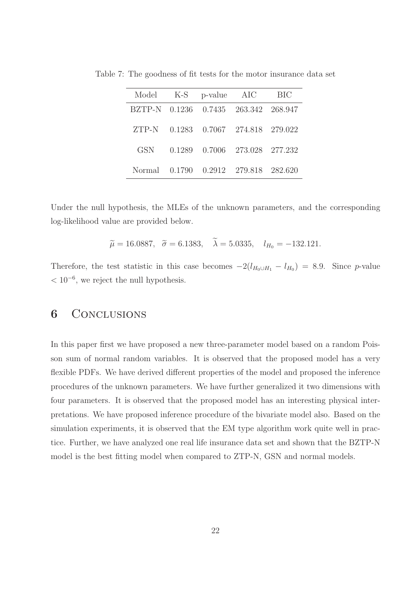|                                      |  | Model K-S p-value AIC BIC            |  |
|--------------------------------------|--|--------------------------------------|--|
| BZTP-N 0.1236 0.7435 263.342 268.947 |  |                                      |  |
|                                      |  | ZTP-N 0.1283 0.7067 274.818 279.022  |  |
| GSN                                  |  | 0.1289 0.7006 273.028 277.232        |  |
|                                      |  | Normal 0.1790 0.2912 279.818 282.620 |  |

Table 7: The goodness of fit tests for the motor insurance data set

Under the null hypothesis, the MLEs of the unknown parameters, and the corresponding log-likelihood value are provided below.

$$
\tilde{\mu} = 16.0887, \quad \tilde{\sigma} = 6.1383, \quad \tilde{\lambda} = 5.0335, \quad l_{H_0} = -132.121.
$$

Therefore, the test statistic in this case becomes  $-2(l_{H_0\cup H_1} - l_{H_0}) = 8.9$ . Since p-value  $< 10^{-6}$ , we reject the null hypothesis.

### 6 CONCLUSIONS

In this paper first we have proposed a new three-parameter model based on a random Poisson sum of normal random variables. It is observed that the proposed model has a very flexible PDFs. We have derived different properties of the model and proposed the inference procedures of the unknown parameters. We have further generalized it two dimensions with four parameters. It is observed that the proposed model has an interesting physical interpretations. We have proposed inference procedure of the bivariate model also. Based on the simulation experiments, it is observed that the EM type algorithm work quite well in practice. Further, we have analyzed one real life insurance data set and shown that the BZTP-N model is the best fitting model when compared to ZTP-N, GSN and normal models.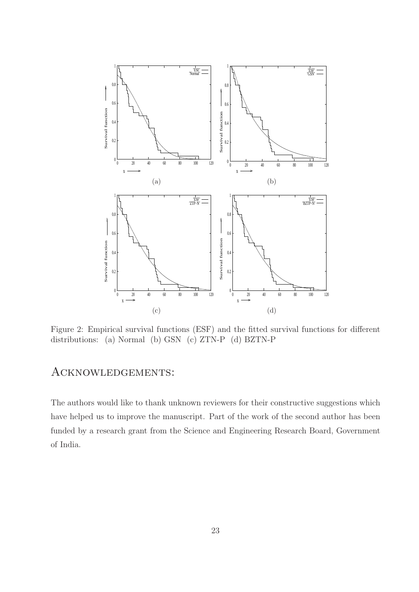

Figure 2: Empirical survival functions (ESF) and the fitted survival functions for different distributions: (a) Normal (b) GSN (c) ZTN-P (d) BZTN-P

### Acknowledgements:

The authors would like to thank unknown reviewers for their constructive suggestions which have helped us to improve the manuscript. Part of the work of the second author has been funded by a research grant from the Science and Engineering Research Board, Government of India.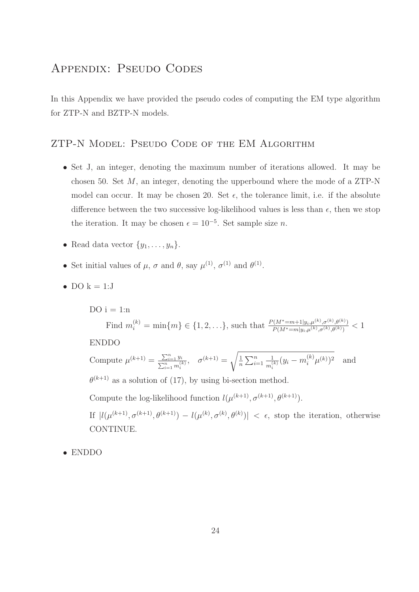### Appendix: Pseudo Codes

In this Appendix we have provided the pseudo codes of computing the EM type algorithm for ZTP-N and BZTP-N models.

### ZTP-N Model: Pseudo Code of the EM Algorithm

- Set J, an integer, denoting the maximum number of iterations allowed. It may be chosen 50. Set  $M$ , an integer, denoting the upperbound where the mode of a ZTP-N model can occur. It may be chosen 20. Set  $\epsilon$ , the tolerance limit, i.e. if the absolute difference between the two successive log-likelihood values is less than  $\epsilon$ , then we stop the iteration. It may be chosen  $\epsilon = 10^{-5}$ . Set sample size *n*.
- Read data vector  $\{y_1, \ldots, y_n\}$ .
- Set initial values of  $\mu$ ,  $\sigma$  and  $\theta$ , say  $\mu^{(1)}$ ,  $\sigma^{(1)}$  and  $\theta^{(1)}$ .
- DO  $k = 1:J$

DO  $i = 1:n$ Find  $m_i^{(k)} = \min\{m\} \in \{1, 2, \ldots\}$ , such that  $\frac{P(M^* = m + 1 | y_i, \mu^{(k)}, \sigma^{(k)}, \theta^{(k)})}{P(M^* = m | y_i, \mu^{(k)}, \sigma^{(k)}, \theta^{(k)})} < 1$ ENDDO Compute  $\mu^{(k+1)} = \frac{\sum_{i=1}^{n} y_i}{\sum_{i=1}^{n} y_i}$  $\frac{\sum_{i=1}^{n} y_i}{\sum_{i=1}^{n} m_i^{(k)}}, \quad \sigma^{(k+1)} = \sqrt{\frac{1}{n}}$  $\frac{1}{n}\sum_{i=1}^n$ 1  $\frac{1}{m_i^{(k)}}(y_i - m_i^{(k)}\mu^{(k)})^2$  and  $\theta^{(k+1)}$  as a solution of (17), by using bi-section method. Compute the log-likelihood function  $l(\mu^{(k+1)}, \sigma^{(k+1)}, \theta^{(k+1)})$ . If  $|l(\mu^{(k+1)}, \sigma^{(k+1)}, \theta^{(k+1)}) - l(\mu^{(k)}, \sigma^{(k)}, \theta^{(k)})| < \epsilon$ , stop the iteration, otherwise CONTINUE.

• ENDDO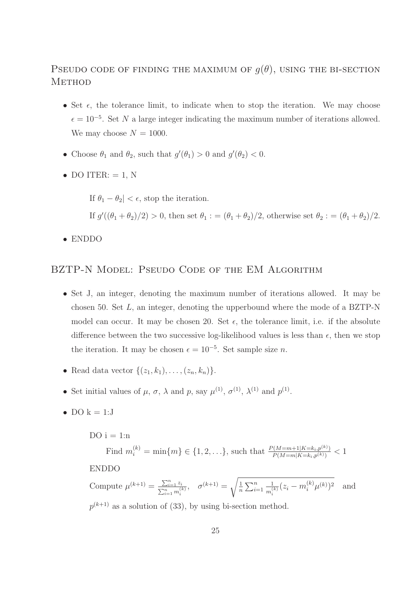### PSEUDO CODE OF FINDING THE MAXIMUM OF  $q(\theta)$ , USING THE BI-SECTION **METHOD**

- Set  $\epsilon$ , the tolerance limit, to indicate when to stop the iteration. We may choose  $\epsilon = 10^{-5}$ . Set N a large integer indicating the maximum number of iterations allowed. We may choose  $N = 1000$ .
- Choose  $\theta_1$  and  $\theta_2$ , such that  $g'(\theta_1) > 0$  and  $g'(\theta_2) < 0$ .
- DO ITER:  $= 1$ , N

If  $\theta_1 - \theta_2$  <  $\epsilon$ , stop the iteration. If  $g'((\theta_1 + \theta_2)/2) > 0$ , then set  $\theta_1 := (\theta_1 + \theta_2)/2$ , otherwise set  $\theta_2 := (\theta_1 + \theta_2)/2$ .

• ENDDO

#### BZTP-N MODEL: PSEUDO CODE OF THE EM ALGORITHM

- Set J, an integer, denoting the maximum number of iterations allowed. It may be chosen 50. Set  $L$ , an integer, denoting the upperbound where the mode of a BZTP-N model can occur. It may be chosen 20. Set  $\epsilon$ , the tolerance limit, i.e. if the absolute difference between the two successive log-likelihood values is less than  $\epsilon$ , then we stop the iteration. It may be chosen  $\epsilon = 10^{-5}$ . Set sample size *n*.
- Read data vector  $\{(z_1, k_1), \ldots, (z_n, k_n)\}.$
- Set initial values of  $\mu$ ,  $\sigma$ ,  $\lambda$  and  $p$ , say  $\mu$ <sup>(1)</sup>,  $\sigma$ <sup>(1)</sup>,  $\lambda$ <sup>(1)</sup> and  $p$ <sup>(1)</sup>.
- DO  $k = 1:J$

DO  $i = 1:n$ Find  $m_i^{(k)} = \min\{m\} \in \{1, 2, ...\}$ , such that  $\frac{P(M=m+1|K=k_i, p^{(k)})}{P(M=m|K=k_i, p^{(k)})}$  $\frac{P(M=m+1|K=k_i,p^{(k)})}{P(M=m|K=k_i,p^{(k)})} < 1$ ENDDO Compute  $\mu^{(k+1)} = \frac{\sum_{i=1}^{n} z_i}{\sum_{i=1}^{n} y_i}$  $\frac{\sum_{i=1}^{n} z_i}{\sum_{i=1}^{n} m_i^{(k)}}, \quad \sigma^{(k+1)} = \sqrt{\frac{1}{n}}$  $\frac{1}{n}\sum_{i=1}^n$ 1  $\frac{1}{m_i^{(k)}}(z_i - m_i^{(k)}\mu^{(k)})^2$  and  $p^{(k+1)}$  as a solution of (33), by using bi-section method.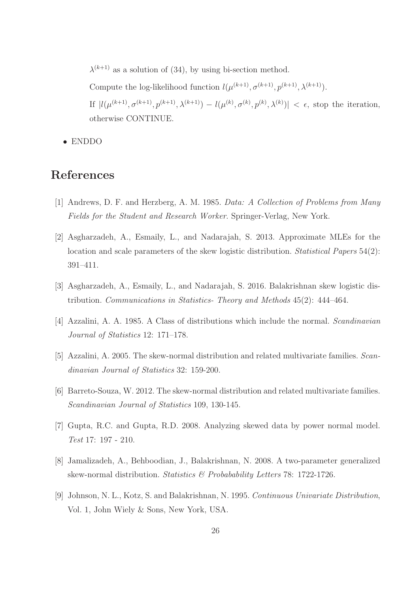$\lambda^{(k+1)}$  as a solution of (34), by using bi-section method.

Compute the log-likelihood function  $l(\mu^{(k+1)}, \sigma^{(k+1)}, p^{(k+1)}, \lambda^{(k+1)})$ .

If  $|l(\mu^{(k+1)}, \sigma^{(k+1)}, \mu^{(k+1)}, \lambda^{(k+1)}) - l(\mu^{(k)}, \sigma^{(k)}, \mu^{(k)}, \lambda^{(k)})| < \epsilon$ , stop the iteration, otherwise CONTINUE.

• ENDDO

### References

- [1] Andrews, D. F. and Herzberg, A. M. 1985. Data: A Collection of Problems from Many Fields for the Student and Research Worker. Springer-Verlag, New York.
- [2] Asgharzadeh, A., Esmaily, L., and Nadarajah, S. 2013. Approximate MLEs for the location and scale parameters of the skew logistic distribution. *Statistical Papers* 54(2): 391–411.
- [3] Asgharzadeh, A., Esmaily, L., and Nadarajah, S. 2016. Balakrishnan skew logistic distribution. Communications in Statistics- Theory and Methods 45(2): 444–464.
- [4] Azzalini, A. A. 1985. A Class of distributions which include the normal. Scandinavian Journal of Statistics 12: 171–178.
- [5] Azzalini, A. 2005. The skew-normal distribution and related multivariate families. Scandinavian Journal of Statistics 32: 159-200.
- [6] Barreto-Souza, W. 2012. The skew-normal distribution and related multivariate families. Scandinavian Journal of Statistics 109, 130-145.
- [7] Gupta, R.C. and Gupta, R.D. 2008. Analyzing skewed data by power normal model. Test 17: 197 - 210.
- [8] Jamalizadeh, A., Behboodian, J., Balakrishnan, N. 2008. A two-parameter generalized skew-normal distribution. Statistics & Probabability Letters 78: 1722-1726.
- [9] Johnson, N. L., Kotz, S. and Balakrishnan, N. 1995. Continuous Univariate Distribution, Vol. 1, John Wiely & Sons, New York, USA.